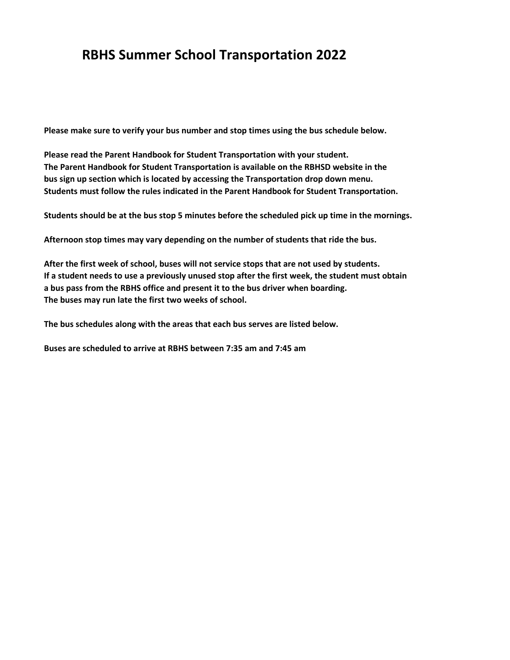## **RBHS Summer School Transportation 2022**

**Please make sure to verify your bus number and stop times using the bus schedule below.**

**Please read the Parent Handbook for Student Transportation with your student. The Parent Handbook for Student Transportation is available on the RBHSD website in the bus sign up section which is located by accessing the Transportation drop down menu. Students must follow the rules indicated in the Parent Handbook for Student Transportation.**

**Students should be at the bus stop 5 minutes before the scheduled pick up time in the mornings.**

**Afternoon stop times may vary depending on the number of students that ride the bus.**

**After the first week of school, buses will not service stops that are not used by students. If a student needs to use a previously unused stop after the first week, the student must obtain a bus pass from the RBHS office and present it to the bus driver when boarding. The buses may run late the first two weeks of school.**

**The bus schedules along with the areas that each bus serves are listed below.**

**Buses are scheduled to arrive at RBHS between 7:35 am and 7:45 am**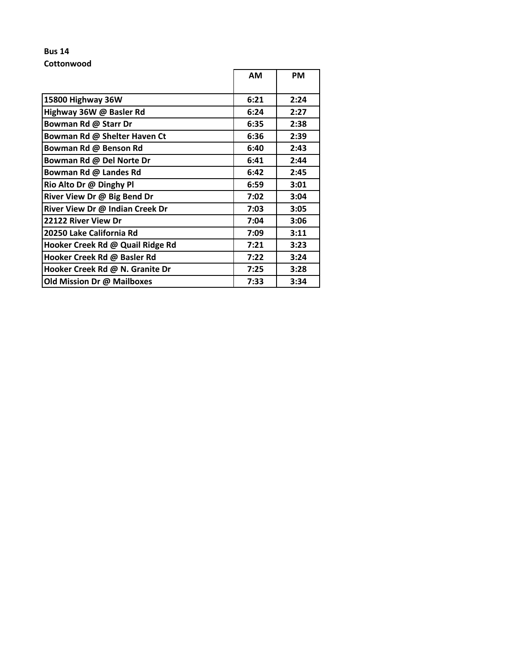### **Bus 14 Cottonwood**

|                                  | <b>AM</b> | <b>PM</b> |
|----------------------------------|-----------|-----------|
| 15800 Highway 36W                | 6:21      | 2:24      |
| Highway 36W @ Basler Rd          | 6:24      | 2:27      |
| Bowman Rd @ Starr Dr             | 6:35      | 2:38      |
| Bowman Rd @ Shelter Haven Ct     | 6:36      | 2:39      |
| Bowman Rd @ Benson Rd            | 6:40      | 2:43      |
| Bowman Rd @ Del Norte Dr         | 6:41      | 2:44      |
| Bowman Rd @ Landes Rd            | 6:42      | 2:45      |
| Rio Alto Dr @ Dinghy Pl          | 6:59      | 3:01      |
| River View Dr @ Big Bend Dr      | 7:02      | 3:04      |
| River View Dr @ Indian Creek Dr  | 7:03      | 3:05      |
| 22122 River View Dr              | 7:04      | 3:06      |
| 20250 Lake California Rd         | 7:09      | 3:11      |
| Hooker Creek Rd @ Quail Ridge Rd | 7:21      | 3:23      |
| Hooker Creek Rd @ Basler Rd      | 7:22      | 3:24      |
| Hooker Creek Rd @ N. Granite Dr  | 7:25      | 3:28      |
| Old Mission Dr @ Mailboxes       | 7:33      | 3:34      |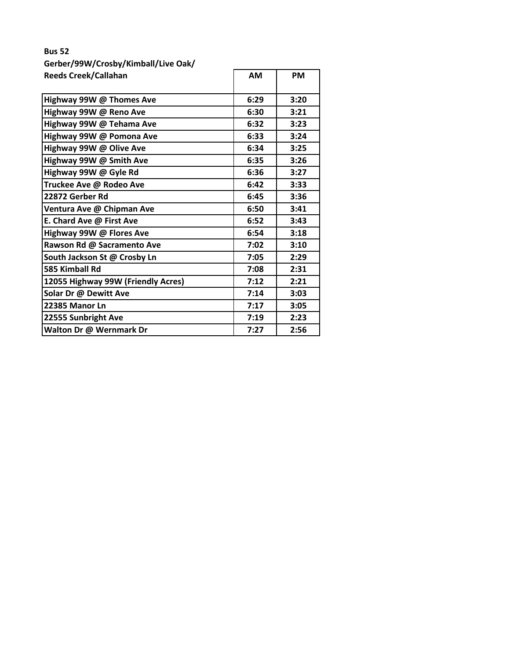# **Bus 52 Gerber/99W/Crosby/Kimball/Live Oak/ Reeds Creek/Callahan AM AM PM**

| Highway 99W @ Thomes Ave           | 6:29 | 3:20 |
|------------------------------------|------|------|
| Highway 99W @ Reno Ave             | 6:30 | 3:21 |
| Highway 99W @ Tehama Ave           | 6:32 | 3:23 |
| Highway 99W @ Pomona Ave           | 6:33 | 3:24 |
| Highway 99W @ Olive Ave            | 6:34 | 3:25 |
| Highway 99W @ Smith Ave            | 6:35 | 3:26 |
| Highway 99W @ Gyle Rd              | 6:36 | 3:27 |
| Truckee Ave @ Rodeo Ave            | 6:42 | 3:33 |
| 22872 Gerber Rd                    | 6:45 | 3:36 |
| Ventura Ave @ Chipman Ave          | 6:50 | 3:41 |
| E. Chard Ave @ First Ave           | 6:52 | 3:43 |
| Highway 99W @ Flores Ave           | 6:54 | 3:18 |
| Rawson Rd @ Sacramento Ave         | 7:02 | 3:10 |
| South Jackson St @ Crosby Ln       | 7:05 | 2:29 |
| 585 Kimball Rd                     | 7:08 | 2:31 |
| 12055 Highway 99W (Friendly Acres) | 7:12 | 2:21 |
| Solar Dr @ Dewitt Ave              | 7:14 | 3:03 |
| 22385 Manor Ln                     | 7:17 | 3:05 |
| 22555 Sunbright Ave                | 7:19 | 2:23 |
| Walton Dr @ Wernmark Dr            | 7:27 | 2:56 |
|                                    |      |      |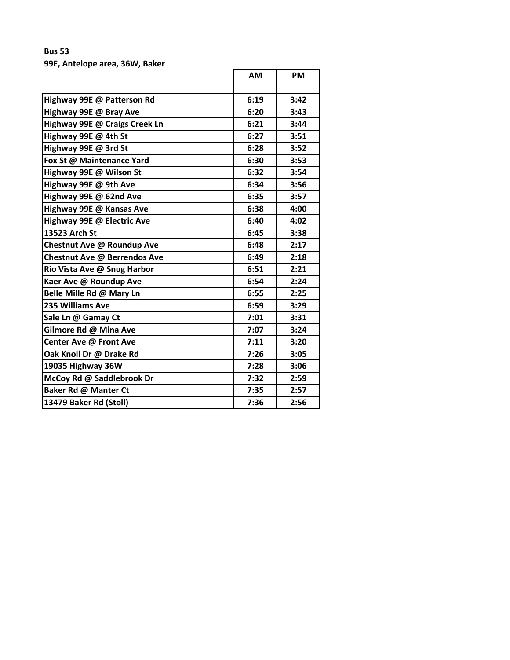### **Bus 53 99E, Antelope area, 36W, Baker**

| Highway 99E @ Patterson Rd<br>6:19<br>3:42<br>6:20<br>3:43<br>Highway 99E @ Bray Ave<br>Highway 99E @ Craigs Creek Ln<br>6:21<br>3:44<br>Highway 99E @ 4th St<br>6:27<br>3:51<br>Highway 99E @ 3rd St<br>6:28<br>3:52<br>Fox St @ Maintenance Yard<br>6:30<br>3:53<br>Highway 99E @ Wilson St<br>6:32<br>3:54<br>Highway 99E @ 9th Ave<br>6:34<br>3:56<br>6:35<br>Highway 99E @ 62nd Ave<br>3:57<br>Highway 99E @ Kansas Ave<br>6:38<br>4:00<br>Highway 99E @ Electric Ave<br>6:40<br>4:02<br>13523 Arch St<br>6:45<br>3:38<br>Chestnut Ave @ Roundup Ave<br>6:48<br>2:17<br>Chestnut Ave @ Berrendos Ave<br>6:49<br>2:18<br>2:21<br>Rio Vista Ave @ Snug Harbor<br>6:51<br>Kaer Ave @ Roundup Ave<br>6:54<br>2:24<br>Belle Mille Rd @ Mary Ln<br>6:55<br>2:25<br>235 Williams Ave<br>6:59<br>3:29<br>Sale Ln @ Gamay Ct<br>7:01<br>3:31<br>Gilmore Rd @ Mina Ave<br>7:07<br>3:24<br>Center Ave @ Front Ave<br>7:11<br>3:20<br>Oak Knoll Dr @ Drake Rd<br>7:26<br>3:05<br>19035 Highway 36W<br>7:28<br>3:06<br>McCoy Rd @ Saddlebrook Dr<br>7:32<br>2:59<br>Baker Rd @ Manter Ct<br>7:35<br>2:57<br>13479 Baker Rd (Stoll)<br>7:36<br>2:56 | <b>AM</b> | <b>PM</b> |
|--------------------------------------------------------------------------------------------------------------------------------------------------------------------------------------------------------------------------------------------------------------------------------------------------------------------------------------------------------------------------------------------------------------------------------------------------------------------------------------------------------------------------------------------------------------------------------------------------------------------------------------------------------------------------------------------------------------------------------------------------------------------------------------------------------------------------------------------------------------------------------------------------------------------------------------------------------------------------------------------------------------------------------------------------------------------------------------------------------------------------------------------|-----------|-----------|
|                                                                                                                                                                                                                                                                                                                                                                                                                                                                                                                                                                                                                                                                                                                                                                                                                                                                                                                                                                                                                                                                                                                                            |           |           |
|                                                                                                                                                                                                                                                                                                                                                                                                                                                                                                                                                                                                                                                                                                                                                                                                                                                                                                                                                                                                                                                                                                                                            |           |           |
|                                                                                                                                                                                                                                                                                                                                                                                                                                                                                                                                                                                                                                                                                                                                                                                                                                                                                                                                                                                                                                                                                                                                            |           |           |
|                                                                                                                                                                                                                                                                                                                                                                                                                                                                                                                                                                                                                                                                                                                                                                                                                                                                                                                                                                                                                                                                                                                                            |           |           |
|                                                                                                                                                                                                                                                                                                                                                                                                                                                                                                                                                                                                                                                                                                                                                                                                                                                                                                                                                                                                                                                                                                                                            |           |           |
|                                                                                                                                                                                                                                                                                                                                                                                                                                                                                                                                                                                                                                                                                                                                                                                                                                                                                                                                                                                                                                                                                                                                            |           |           |
|                                                                                                                                                                                                                                                                                                                                                                                                                                                                                                                                                                                                                                                                                                                                                                                                                                                                                                                                                                                                                                                                                                                                            |           |           |
|                                                                                                                                                                                                                                                                                                                                                                                                                                                                                                                                                                                                                                                                                                                                                                                                                                                                                                                                                                                                                                                                                                                                            |           |           |
|                                                                                                                                                                                                                                                                                                                                                                                                                                                                                                                                                                                                                                                                                                                                                                                                                                                                                                                                                                                                                                                                                                                                            |           |           |
|                                                                                                                                                                                                                                                                                                                                                                                                                                                                                                                                                                                                                                                                                                                                                                                                                                                                                                                                                                                                                                                                                                                                            |           |           |
|                                                                                                                                                                                                                                                                                                                                                                                                                                                                                                                                                                                                                                                                                                                                                                                                                                                                                                                                                                                                                                                                                                                                            |           |           |
|                                                                                                                                                                                                                                                                                                                                                                                                                                                                                                                                                                                                                                                                                                                                                                                                                                                                                                                                                                                                                                                                                                                                            |           |           |
|                                                                                                                                                                                                                                                                                                                                                                                                                                                                                                                                                                                                                                                                                                                                                                                                                                                                                                                                                                                                                                                                                                                                            |           |           |
|                                                                                                                                                                                                                                                                                                                                                                                                                                                                                                                                                                                                                                                                                                                                                                                                                                                                                                                                                                                                                                                                                                                                            |           |           |
|                                                                                                                                                                                                                                                                                                                                                                                                                                                                                                                                                                                                                                                                                                                                                                                                                                                                                                                                                                                                                                                                                                                                            |           |           |
|                                                                                                                                                                                                                                                                                                                                                                                                                                                                                                                                                                                                                                                                                                                                                                                                                                                                                                                                                                                                                                                                                                                                            |           |           |
|                                                                                                                                                                                                                                                                                                                                                                                                                                                                                                                                                                                                                                                                                                                                                                                                                                                                                                                                                                                                                                                                                                                                            |           |           |
|                                                                                                                                                                                                                                                                                                                                                                                                                                                                                                                                                                                                                                                                                                                                                                                                                                                                                                                                                                                                                                                                                                                                            |           |           |
|                                                                                                                                                                                                                                                                                                                                                                                                                                                                                                                                                                                                                                                                                                                                                                                                                                                                                                                                                                                                                                                                                                                                            |           |           |
|                                                                                                                                                                                                                                                                                                                                                                                                                                                                                                                                                                                                                                                                                                                                                                                                                                                                                                                                                                                                                                                                                                                                            |           |           |
|                                                                                                                                                                                                                                                                                                                                                                                                                                                                                                                                                                                                                                                                                                                                                                                                                                                                                                                                                                                                                                                                                                                                            |           |           |
|                                                                                                                                                                                                                                                                                                                                                                                                                                                                                                                                                                                                                                                                                                                                                                                                                                                                                                                                                                                                                                                                                                                                            |           |           |
|                                                                                                                                                                                                                                                                                                                                                                                                                                                                                                                                                                                                                                                                                                                                                                                                                                                                                                                                                                                                                                                                                                                                            |           |           |
|                                                                                                                                                                                                                                                                                                                                                                                                                                                                                                                                                                                                                                                                                                                                                                                                                                                                                                                                                                                                                                                                                                                                            |           |           |
|                                                                                                                                                                                                                                                                                                                                                                                                                                                                                                                                                                                                                                                                                                                                                                                                                                                                                                                                                                                                                                                                                                                                            |           |           |
|                                                                                                                                                                                                                                                                                                                                                                                                                                                                                                                                                                                                                                                                                                                                                                                                                                                                                                                                                                                                                                                                                                                                            |           |           |
|                                                                                                                                                                                                                                                                                                                                                                                                                                                                                                                                                                                                                                                                                                                                                                                                                                                                                                                                                                                                                                                                                                                                            |           |           |